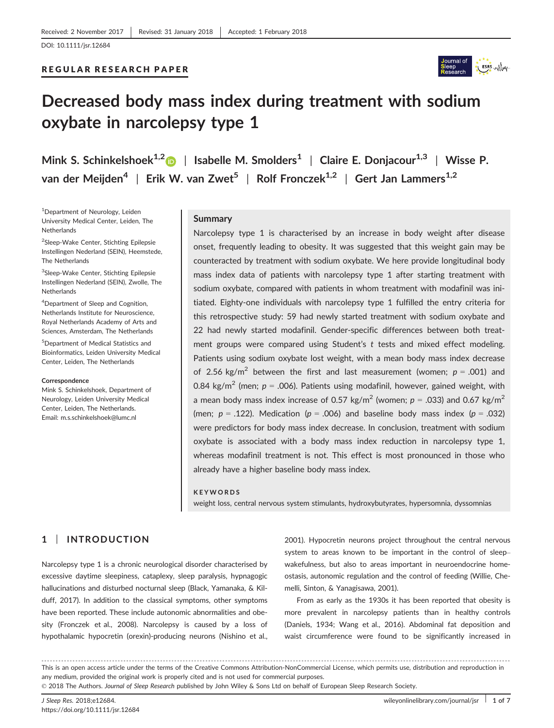# REGULAR RESEARCH PAPER



# Decreased body mass index during treatment with sodium oxybate in narcolepsy type 1

Mink S. Schinkelshoek<sup>1,[2](http://orcid.org/0000-0002-7901-0353)</sup> | Isabelle M. Smolders<sup>1</sup> | Claire E. Donjacour<sup>1,3</sup> | Wisse P. van der Meijden<sup>4</sup> | Erik W. van Zwet<sup>5</sup> | Rolf Fronczek<sup>1,2</sup> | Gert Jan Lammers<sup>1,2</sup>

1 Department of Neurology, Leiden University Medical Center, Leiden, The **Netherlands** 

<sup>2</sup>Sleep-Wake Center, Stichting Epilepsie Instellingen Nederland (SEIN), Heemstede, The Netherlands

<sup>3</sup>Sleep-Wake Center, Stichting Epilepsie Instellingen Nederland (SEIN), Zwolle, The **Netherlands** 

4 Department of Sleep and Cognition, Netherlands Institute for Neuroscience, Royal Netherlands Academy of Arts and Sciences, Amsterdam, The Netherlands

5 Department of Medical Statistics and Bioinformatics, Leiden University Medical Center, Leiden, The Netherlands

#### **Correspondence**

Mink S. Schinkelshoek, Department of Neurology, Leiden University Medical Center, Leiden, The Netherlands. Email: m.s.schinkelshoek@lumc.nl

# **Summary**

Narcolepsy type 1 is characterised by an increase in body weight after disease onset, frequently leading to obesity. It was suggested that this weight gain may be counteracted by treatment with sodium oxybate. We here provide longitudinal body mass index data of patients with narcolepsy type 1 after starting treatment with sodium oxybate, compared with patients in whom treatment with modafinil was initiated. Eighty-one individuals with narcolepsy type 1 fulfilled the entry criteria for this retrospective study: 59 had newly started treatment with sodium oxybate and 22 had newly started modafinil. Gender-specific differences between both treatment groups were compared using Student's t tests and mixed effect modeling. Patients using sodium oxybate lost weight, with a mean body mass index decrease of 2.56 kg/m<sup>2</sup> between the first and last measurement (women;  $p = .001$ ) and 0.84 kg/m<sup>2</sup> (men;  $p = 0.006$ ). Patients using modafinil, however, gained weight, with a mean body mass index increase of 0.57 kg/m<sup>2</sup> (women;  $p = .033$ ) and 0.67 kg/m<sup>2</sup> (men;  $p = .122$ ). Medication ( $p = .006$ ) and baseline body mass index ( $p = .032$ ) were predictors for body mass index decrease. In conclusion, treatment with sodium oxybate is associated with a body mass index reduction in narcolepsy type 1, whereas modafinil treatment is not. This effect is most pronounced in those who already have a higher baseline body mass index.

#### KEYWORDS

weight loss, central nervous system stimulants, hydroxybutyrates, hypersomnia, dyssomnias

# 1 | INTRODUCTION

Narcolepsy type 1 is a chronic neurological disorder characterised by excessive daytime sleepiness, cataplexy, sleep paralysis, hypnagogic hallucinations and disturbed nocturnal sleep (Black, Yamanaka, & Kilduff, 2017). In addition to the classical symptoms, other symptoms have been reported. These include autonomic abnormalities and obesity (Fronczek et al., 2008). Narcolepsy is caused by a loss of hypothalamic hypocretin (orexin)-producing neurons (Nishino et al.,

2001). Hypocretin neurons project throughout the central nervous system to areas known to be important in the control of sleep– wakefulness, but also to areas important in neuroendocrine homeostasis, autonomic regulation and the control of feeding (Willie, Chemelli, Sinton, & Yanagisawa, 2001).

From as early as the 1930s it has been reported that obesity is more prevalent in narcolepsy patients than in healthy controls (Daniels, 1934; Wang et al., 2016). Abdominal fat deposition and waist circumference were found to be significantly increased in

------------------------------------------------------------------------------------------------------------------------------- --------------------------------------- This is an open access article under the terms of the [Creative Commons Attribution-NonCommercial](http://creativecommons.org/licenses/by-nc/4.0/) License, which permits use, distribution and reproduction in any medium, provided the original work is properly cited and is not used for commercial purposes. © 2018 The Authors. Journal of Sleep Research published by John Wiley & Sons Ltd on behalf of European Sleep Research Society.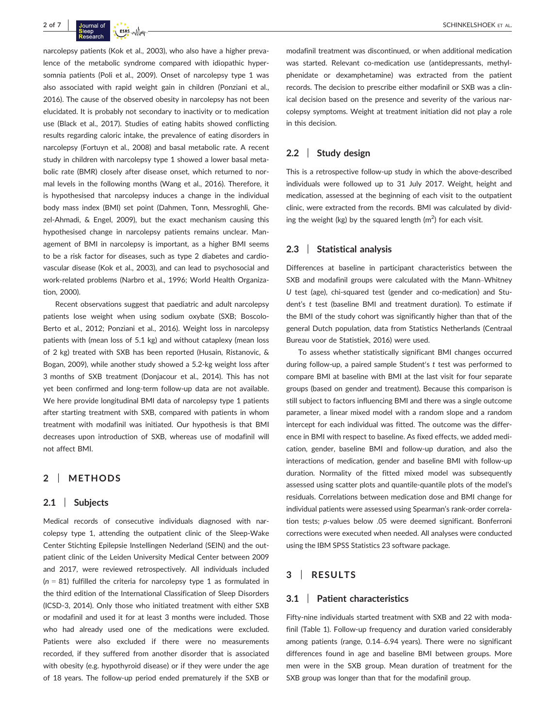narcolepsy patients (Kok et al., 2003), who also have a higher prevalence of the metabolic syndrome compared with idiopathic hypersomnia patients (Poli et al., 2009). Onset of narcolepsy type 1 was also associated with rapid weight gain in children (Ponziani et al., 2016). The cause of the observed obesity in narcolepsy has not been elucidated. It is probably not secondary to inactivity or to medication use (Black et al., 2017). Studies of eating habits showed conflicting results regarding caloric intake, the prevalence of eating disorders in narcolepsy (Fortuyn et al., 2008) and basal metabolic rate. A recent study in children with narcolepsy type 1 showed a lower basal metabolic rate (BMR) closely after disease onset, which returned to normal levels in the following months (Wang et al., 2016). Therefore, it is hypothesised that narcolepsy induces a change in the individual body mass index (BMI) set point (Dahmen, Tonn, Messroghli, Ghezel-Ahmadi, & Engel, 2009), but the exact mechanism causing this hypothesised change in narcolepsy patients remains unclear. Management of BMI in narcolepsy is important, as a higher BMI seems to be a risk factor for diseases, such as type 2 diabetes and cardiovascular disease (Kok et al., 2003), and can lead to psychosocial and work-related problems (Narbro et al., 1996; World Health Organization, 2000).

Recent observations suggest that paediatric and adult narcolepsy patients lose weight when using sodium oxybate (SXB; Boscolo-Berto et al., 2012; Ponziani et al., 2016). Weight loss in narcolepsy patients with (mean loss of 5.1 kg) and without cataplexy (mean loss of 2 kg) treated with SXB has been reported (Husain, Ristanovic, & Bogan, 2009), while another study showed a 5.2-kg weight loss after 3 months of SXB treatment (Donjacour et al., 2014). This has not yet been confirmed and long-term follow-up data are not available. We here provide longitudinal BMI data of narcolepsy type 1 patients after starting treatment with SXB, compared with patients in whom treatment with modafinil was initiated. Our hypothesis is that BMI decreases upon introduction of SXB, whereas use of modafinil will not affect BMI.

# 2 | METHODS

#### 2.1 | Subjects

Medical records of consecutive individuals diagnosed with narcolepsy type 1, attending the outpatient clinic of the Sleep-Wake Center Stichting Epilepsie Instellingen Nederland (SEIN) and the outpatient clinic of the Leiden University Medical Center between 2009 and 2017, were reviewed retrospectively. All individuals included  $(n = 81)$  fulfilled the criteria for narcolepsy type 1 as formulated in the third edition of the International Classification of Sleep Disorders (ICSD-3, 2014). Only those who initiated treatment with either SXB or modafinil and used it for at least 3 months were included. Those who had already used one of the medications were excluded. Patients were also excluded if there were no measurements recorded, if they suffered from another disorder that is associated with obesity (e.g. hypothyroid disease) or if they were under the age of 18 years. The follow-up period ended prematurely if the SXB or modafinil treatment was discontinued, or when additional medication was started. Relevant co-medication use (antidepressants, methylphenidate or dexamphetamine) was extracted from the patient records. The decision to prescribe either modafinil or SXB was a clinical decision based on the presence and severity of the various narcolepsy symptoms. Weight at treatment initiation did not play a role in this decision.

# 2.2 | Study design

This is a retrospective follow-up study in which the above-described individuals were followed up to 31 July 2017. Weight, height and medication, assessed at the beginning of each visit to the outpatient clinic, were extracted from the records. BMI was calculated by dividing the weight (kg) by the squared length  $(m^2)$  for each visit.

#### 2.3 | Statistical analysis

Differences at baseline in participant characteristics between the SXB and modafinil groups were calculated with the Mann–Whitney U test (age), chi-squared test (gender and co-medication) and Student's t test (baseline BMI and treatment duration). To estimate if the BMI of the study cohort was significantly higher than that of the general Dutch population, data from Statistics Netherlands (Centraal Bureau voor de Statistiek, 2016) were used.

To assess whether statistically significant BMI changes occurred during follow-up, a paired sample Student's t test was performed to compare BMI at baseline with BMI at the last visit for four separate groups (based on gender and treatment). Because this comparison is still subject to factors influencing BMI and there was a single outcome parameter, a linear mixed model with a random slope and a random intercept for each individual was fitted. The outcome was the difference in BMI with respect to baseline. As fixed effects, we added medication, gender, baseline BMI and follow-up duration, and also the interactions of medication, gender and baseline BMI with follow-up duration. Normality of the fitted mixed model was subsequently assessed using scatter plots and quantile-quantile plots of the model's residuals. Correlations between medication dose and BMI change for individual patients were assessed using Spearman's rank-order correlation tests; p-values below .05 were deemed significant. Bonferroni corrections were executed when needed. All analyses were conducted using the IBM SPSS Statistics 23 software package.

## 3 | RESULTS

#### 3.1 | Patient characteristics

Fifty-nine individuals started treatment with SXB and 22 with modafinil (Table 1). Follow-up frequency and duration varied considerably among patients (range, 0.14–6.94 years). There were no significant differences found in age and baseline BMI between groups. More men were in the SXB group. Mean duration of treatment for the SXB group was longer than that for the modafinil group.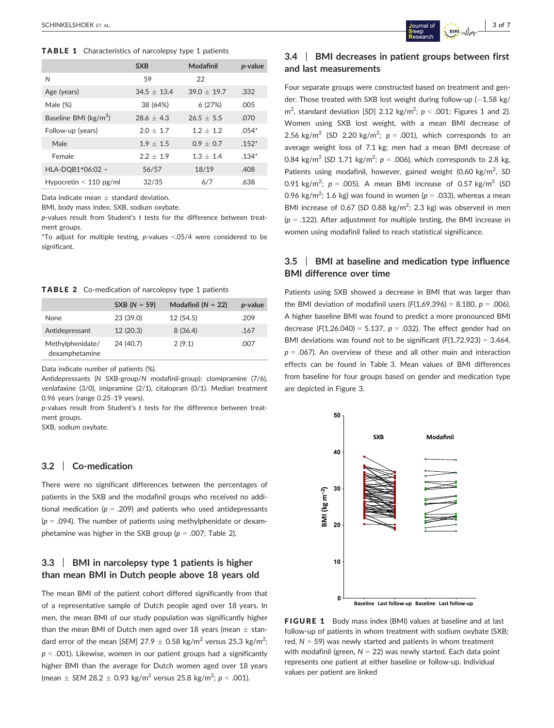TABLE 1 Characteristics of narcolepsy type 1 patients

|                                  | <b>SXB</b>    | Modafinil     | <i>p</i> -value |
|----------------------------------|---------------|---------------|-----------------|
| Ν                                | 59            | 22            |                 |
| Age (years)                      | $34.5 + 13.4$ | $39.0 + 19.7$ | .332            |
| Male (%)                         | 38 (64%)      | 6(27%)        | .005            |
| Baseline BMI ( $\text{kg/m}^2$ ) | $28.6 + 4.3$  | $26.5 + 5.5$  | .070            |
| Follow-up (years)                | $2.0 + 1.7$   | $1.2 + 1.2$   | $.054*$         |
| Male                             | $1.9 + 1.5$   | $0.9 + 0.7$   | $.152*$         |
| Female                           | $2.2 + 1.9$   | $1.3 + 1.4$   | $.134*$         |
| HLA-DQB1*06:02 +                 | 56/57         | 18/19         | .408            |
| Hypocretin $< 110$ pg/ml         | 32/35         | 6/7           | .638            |

Data indicate mean  $\pm$  standard deviation.

BMI, body mass index; SXB, sodium oxybate.

p-values result from Student's t tests for the difference between treatment groups.

\*To adjust for multiple testing, p-values <.05/4 were considered to be significant.

TABLE 2 Co-medication of narcolepsy type 1 patients

|                                    | $SXB (N = 59)$ | Modafinil ( $N = 22$ ) | <i>p</i> -value |
|------------------------------------|----------------|------------------------|-----------------|
| <b>None</b>                        | 23 (39.0)      | 12 (54.5)              | .209            |
| Antidepressant                     | 12 (20.3)      | 8(36.4)                | .167            |
| Methylphenidate/<br>dexamphetamine | 24 (40.7)      | 2(9.1)                 | .007            |

Data indicate number of patients (%).

Antidepressants (N SXB-group/N modafinil-group): clomipramine (7/6), venlafaxine (3/0), imipramine (2/1), citalopram (0/1). Median treatment 0.96 years (range 0.25–19 years).

p-values result from Student's t tests for the difference between treatment groups.

SXB, sodium oxybate.

# 3.2 | Co-medication

There were no significant differences between the percentages of patients in the SXB and the modafinil groups who received no additional medication ( $p = .209$ ) and patients who used antidepressants ( $p = .094$ ). The number of patients using methylphenidate or dexamphetamine was higher in the SXB group ( $p = .007$ ; Table 2).

# 3.3 | BMI in narcolepsy type 1 patients is higher than mean BMI in Dutch people above 18 years old

The mean BMI of the patient cohort differed significantly from that of a representative sample of Dutch people aged over 18 years. In men, the mean BMI of our study population was significantly higher than the mean BMI of Dutch men aged over 18 years (mean  $\pm$  standard error of the mean [SEM] 27.9  $\pm$  0.58 kg/m<sup>2</sup> versus 25.3 kg/m<sup>2</sup>;  $p < .001$ ). Likewise, women in our patient groups had a significantly higher BMI than the average for Dutch women aged over 18 years (mean  $\pm$  SEM 28.2  $\pm$  0.93 kg/m<sup>2</sup> versus 25.8 kg/m<sup>2</sup>;  $p < .001$ ).

# 3.4 | BMI decreases in patient groups between first and last measurements

Four separate groups were constructed based on treatment and gender. Those treated with SXB lost weight during follow-up  $(-1.58 \text{ kg})$  $m^2$ , standard deviation [SD] 2.12 kg/m<sup>2</sup>;  $p < .001$ ; Figures 1 and 2). Women using SXB lost weight, with a mean BMI decrease of 2.56 kg/m<sup>2</sup> (SD 2.20 kg/m<sup>2</sup>;  $p = .001$ ), which corresponds to an average weight loss of 7.1 kg; men had a mean BMI decrease of 0.84 kg/m<sup>2</sup> (SD 1.71 kg/m<sup>2</sup>;  $p = .006$ ), which corresponds to 2.8 kg. Patients using modafinil, however, gained weight  $(0.60 \text{ kg/m}^2, SD)$ 0.91 kg/m<sup>2</sup>;  $p = .005$ ). A mean BMI increase of 0.57 kg/m<sup>2</sup> (SD 0.96 kg/m<sup>2</sup>; 1.6 kg) was found in women ( $p = 0.033$ ), whereas a mean BMI increase of 0.67 (SD 0.88  $\text{kg/m}^2$ ; 2.3  $\text{kg}$ ) was observed in men ( $p = .122$ ). After adjustment for multiple testing, the BMI increase in women using modafinil failed to reach statistical significance.

# 3.5 | BMI at baseline and medication type influence BMI difference over time

Patients using SXB showed a decrease in BMI that was larger than the BMI deviation of modafinil users  $(F(1.69.396) = 8.180, p = .006)$ . A higher baseline BMI was found to predict a more pronounced BMI decrease (F(1,26.040) = 5.137,  $p = .032$ ). The effect gender had on BMI deviations was found not to be significant  $(F(1,72.923) = 3.464,$  $p = .067$ ). An overview of these and all other main and interaction effects can be found in Table 3. Mean values of BMI differences from baseline for four groups based on gender and medication type are depicted in Figure 3.



FIGURE 1 Body mass index (BMI) values at baseline and at last follow-up of patients in whom treatment with sodium oxybate (SXB; red,  $N = 59$ ) was newly started and patients in whom treatment with modafinil (green,  $N = 22$ ) was newly started. Each data point represents one patient at either baseline or follow-up. Individual values per patient are linked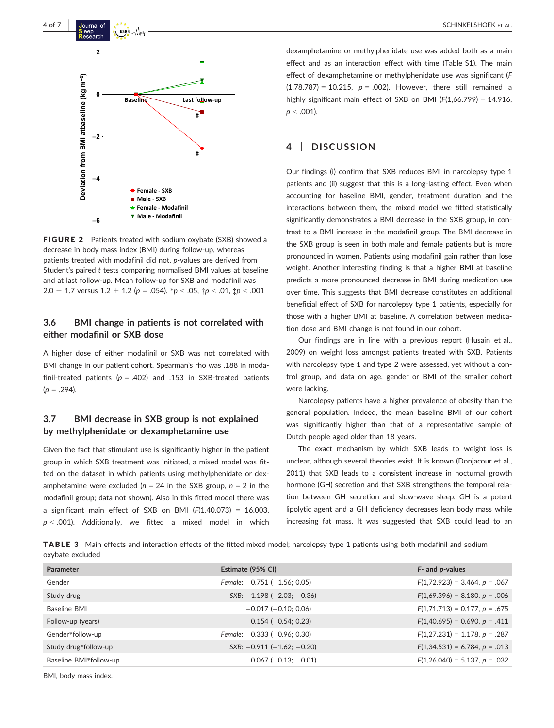

FIGURE 2 Patients treated with sodium oxybate (SXB) showed a decrease in body mass index (BMI) during follow-up, whereas patients treated with modafinil did not. p-values are derived from Student's paired t tests comparing normalised BMI values at baseline and at last follow-up. Mean follow-up for SXB and modafinil was  $2.0 \pm 1.7$  versus  $1.2 \pm 1.2$  (p = .054).  $^{*}p < .05$ ,  $^{*}p < .01$ ,  $^{*}p < .001$ 

# 3.6 | BMI change in patients is not correlated with either modafinil or SXB dose

A higher dose of either modafinil or SXB was not correlated with BMI change in our patient cohort. Spearman's rho was .188 in modafinil-treated patients ( $p = .402$ ) and .153 in SXB-treated patients  $(p = .294)$ .

# 3.7 | BMI decrease in SXB group is not explained by methylphenidate or dexamphetamine use

Given the fact that stimulant use is significantly higher in the patient group in which SXB treatment was initiated, a mixed model was fitted on the dataset in which patients using methylphenidate or dexamphetamine were excluded ( $n = 24$  in the SXB group,  $n = 2$  in the modafinil group; data not shown). Also in this fitted model there was a significant main effect of SXB on BMI  $(F(1,40.073) = 16.003$ ,  $p < .001$ ). Additionally, we fitted a mixed model in which dexamphetamine or methylphenidate use was added both as a main effect and as an interaction effect with time (Table S1). The main effect of dexamphetamine or methylphenidate use was significant (F  $(1,78.787) = 10.215$ ,  $p = .002$ ). However, there still remained a highly significant main effect of SXB on BMI  $(F(1.66.799) = 14.916$ .  $p < .001$ ).

# 4 | DISCUSSION

Our findings (i) confirm that SXB reduces BMI in narcolepsy type 1 patients and (ii) suggest that this is a long-lasting effect. Even when accounting for baseline BMI, gender, treatment duration and the interactions between them, the mixed model we fitted statistically significantly demonstrates a BMI decrease in the SXB group, in contrast to a BMI increase in the modafinil group. The BMI decrease in the SXB group is seen in both male and female patients but is more pronounced in women. Patients using modafinil gain rather than lose weight. Another interesting finding is that a higher BMI at baseline predicts a more pronounced decrease in BMI during medication use over time. This suggests that BMI decrease constitutes an additional beneficial effect of SXB for narcolepsy type 1 patients, especially for those with a higher BMI at baseline. A correlation between medication dose and BMI change is not found in our cohort.

Our findings are in line with a previous report (Husain et al., 2009) on weight loss amongst patients treated with SXB. Patients with narcolepsy type 1 and type 2 were assessed, yet without a control group, and data on age, gender or BMI of the smaller cohort were lacking.

Narcolepsy patients have a higher prevalence of obesity than the general population. Indeed, the mean baseline BMI of our cohort was significantly higher than that of a representative sample of Dutch people aged older than 18 years.

The exact mechanism by which SXB leads to weight loss is unclear, although several theories exist. It is known (Donjacour et al., 2011) that SXB leads to a consistent increase in nocturnal growth hormone (GH) secretion and that SXB strengthens the temporal relation between GH secretion and slow-wave sleep. GH is a potent lipolytic agent and a GH deficiency decreases lean body mass while increasing fat mass. It was suggested that SXB could lead to an

TABLE 3 Main effects and interaction effects of the fitted mixed model; narcolepsy type 1 patients using both modafinil and sodium oxybate excluded

| Parameter              | Estimate (95% CI)                  | F- and <i>p</i> -values            |
|------------------------|------------------------------------|------------------------------------|
| Gender                 | Female: $-0.751$ ( $-1.56$ ; 0.05) | $F(1,72.923) = 3.464, p = .067$    |
| Study drug             | $SXB: -1.198 (-2.03; -0.36)$       | $F(1,69.396) = 8.180, p = .006$    |
| Baseline BMI           | $-0.017$ ( $-0.10; 0.06$ )         | $F(1,71.713) = 0.177$ , $p = .675$ |
| Follow-up (years)      | $-0.154$ ( $-0.54$ ; 0.23)         | $F(1,40.695) = 0.690, p = .411$    |
| Gender*follow-up       | Female: $-0.333$ ( $-0.96$ ; 0.30) | $F(1,27.231) = 1.178, p = .287$    |
| Study drug*follow-up   | $SXB: -0.911 (-1.62; -0.20)$       | $F(1,34.531) = 6.784, p = .013$    |
| Baseline BMI*follow-up | $-0.067$ ( $-0.13$ ; $-0.01$ )     | $F(1,26.040) = 5.137, p = .032$    |

BMI, body mass index.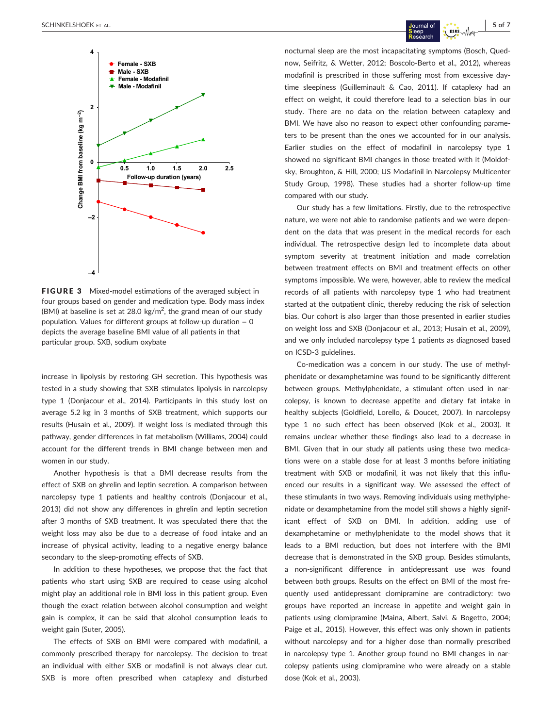

FIGURE 3 Mixed-model estimations of the averaged subject in four groups based on gender and medication type. Body mass index (BMI) at baseline is set at 28.0 kg/m<sup>2</sup>, the grand mean of our study population. Values for different groups at follow-up duration  $= 0$ depicts the average baseline BMI value of all patients in that particular group. SXB, sodium oxybate

increase in lipolysis by restoring GH secretion. This hypothesis was tested in a study showing that SXB stimulates lipolysis in narcolepsy type 1 (Donjacour et al., 2014). Participants in this study lost on average 5.2 kg in 3 months of SXB treatment, which supports our results (Husain et al., 2009). If weight loss is mediated through this pathway, gender differences in fat metabolism (Williams, 2004) could account for the different trends in BMI change between men and women in our study.

Another hypothesis is that a BMI decrease results from the effect of SXB on ghrelin and leptin secretion. A comparison between narcolepsy type 1 patients and healthy controls (Donjacour et al., 2013) did not show any differences in ghrelin and leptin secretion after 3 months of SXB treatment. It was speculated there that the weight loss may also be due to a decrease of food intake and an increase of physical activity, leading to a negative energy balance secondary to the sleep-promoting effects of SXB.

In addition to these hypotheses, we propose that the fact that patients who start using SXB are required to cease using alcohol might play an additional role in BMI loss in this patient group. Even though the exact relation between alcohol consumption and weight gain is complex, it can be said that alcohol consumption leads to weight gain (Suter, 2005).

The effects of SXB on BMI were compared with modafinil, a commonly prescribed therapy for narcolepsy. The decision to treat an individual with either SXB or modafinil is not always clear cut. SXB is more often prescribed when cataplexy and disturbed

nocturnal sleep are the most incapacitating symptoms (Bosch, Quednow, Seifritz, & Wetter, 2012; Boscolo-Berto et al., 2012), whereas modafinil is prescribed in those suffering most from excessive daytime sleepiness (Guilleminault & Cao, 2011). If cataplexy had an effect on weight, it could therefore lead to a selection bias in our study. There are no data on the relation between cataplexy and BMI. We have also no reason to expect other confounding parameters to be present than the ones we accounted for in our analysis. Earlier studies on the effect of modafinil in narcolepsy type 1 showed no significant BMI changes in those treated with it (Moldofsky, Broughton, & Hill, 2000; US Modafinil in Narcolepsy Multicenter Study Group, 1998). These studies had a shorter follow-up time compared with our study.

Our study has a few limitations. Firstly, due to the retrospective nature, we were not able to randomise patients and we were dependent on the data that was present in the medical records for each individual. The retrospective design led to incomplete data about symptom severity at treatment initiation and made correlation between treatment effects on BMI and treatment effects on other symptoms impossible. We were, however, able to review the medical records of all patients with narcolepsy type 1 who had treatment started at the outpatient clinic, thereby reducing the risk of selection bias. Our cohort is also larger than those presented in earlier studies on weight loss and SXB (Donjacour et al., 2013; Husain et al., 2009), and we only included narcolepsy type 1 patients as diagnosed based on ICSD-3 guidelines.

Co-medication was a concern in our study. The use of methylphenidate or dexamphetamine was found to be significantly different between groups. Methylphenidate, a stimulant often used in narcolepsy, is known to decrease appetite and dietary fat intake in healthy subjects (Goldfield, Lorello, & Doucet, 2007). In narcolepsy type 1 no such effect has been observed (Kok et al., 2003). It remains unclear whether these findings also lead to a decrease in BMI. Given that in our study all patients using these two medications were on a stable dose for at least 3 months before initiating treatment with SXB or modafinil, it was not likely that this influenced our results in a significant way. We assessed the effect of these stimulants in two ways. Removing individuals using methylphenidate or dexamphetamine from the model still shows a highly significant effect of SXB on BMI. In addition, adding use of dexamphetamine or methylphenidate to the model shows that it leads to a BMI reduction, but does not interfere with the BMI decrease that is demonstrated in the SXB group. Besides stimulants, a non-significant difference in antidepressant use was found between both groups. Results on the effect on BMI of the most frequently used antidepressant clomipramine are contradictory: two groups have reported an increase in appetite and weight gain in patients using clomipramine (Maina, Albert, Salvi, & Bogetto, 2004; Paige et al., 2015). However, this effect was only shown in patients without narcolepsy and for a higher dose than normally prescribed in narcolepsy type 1. Another group found no BMI changes in narcolepsy patients using clomipramine who were already on a stable dose (Kok et al., 2003).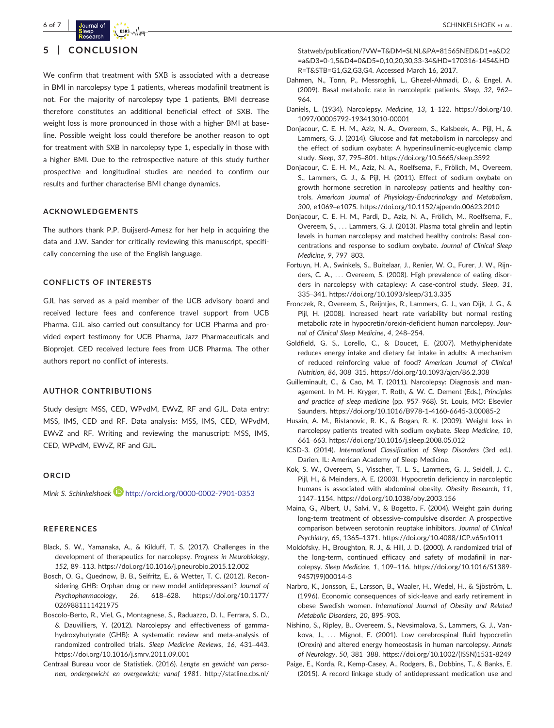

# 5 | CONCLUSION

We confirm that treatment with SXB is associated with a decrease in BMI in narcolepsy type 1 patients, whereas modafinil treatment is not. For the majority of narcolepsy type 1 patients, BMI decrease therefore constitutes an additional beneficial effect of SXB. The weight loss is more pronounced in those with a higher BMI at baseline. Possible weight loss could therefore be another reason to opt for treatment with SXB in narcolepsy type 1, especially in those with a higher BMI. Due to the retrospective nature of this study further prospective and longitudinal studies are needed to confirm our results and further characterise BMI change dynamics.

#### ACKNOWLEDGEMENTS

The authors thank P.P. Buijserd-Amesz for her help in acquiring the data and J.W. Sander for critically reviewing this manuscript, specifically concerning the use of the English language.

## CONFLICTS OF INTERESTS

GJL has served as a paid member of the UCB advisory board and received lecture fees and conference travel support from UCB Pharma. GJL also carried out consultancy for UCB Pharma and provided expert testimony for UCB Pharma, Jazz Pharmaceuticals and Bioprojet. CED received lecture fees from UCB Pharma. The other authors report no conflict of interests.

## AUTHOR CONTRIBUTIONS

Study design: MSS, CED, WPvdM, EWvZ, RF and GJL. Data entry: MSS, IMS, CED and RF. Data analysis: MSS, IMS, CED, WPvdM, EWvZ and RF. Writing and reviewing the manuscript: MSS, IMS, CED, WPvdM, EWvZ, RF and GJL.

#### ORCID

Mink S. Schinkelshoek **http://orcid.org/0000-0002-7901-0353** 

#### **REFERENCES**

- Black, S. W., Yamanaka, A., & Kilduff, T. S. (2017). Challenges in the development of therapeutics for narcolepsy. Progress in Neurobiology, 152, 89–113.<https://doi.org/10.1016/j.pneurobio.2015.12.002>
- Bosch, O. G., Quednow, B. B., Seifritz, E., & Wetter, T. C. (2012). Reconsidering GHB: Orphan drug or new model antidepressant? Journal of Psychopharmacology, 26, 618–628. [https://doi.org/10.1177/](https://doi.org/10.1177/0269881111421975) [0269881111421975](https://doi.org/10.1177/0269881111421975)
- Boscolo-Berto, R., Viel, G., Montagnese, S., Raduazzo, D. I., Ferrara, S. D., & Dauvilliers, Y. (2012). Narcolepsy and effectiveness of gammahydroxybutyrate (GHB): A systematic review and meta-analysis of randomized controlled trials. Sleep Medicine Reviews, 16, 431–443. <https://doi.org/10.1016/j.smrv.2011.09.001>
- Centraal Bureau voor de Statistiek. (2016). Lengte en gewicht van personen, ondergewicht en overgewicht; vanaf 1981. [http://statline.cbs.nl/](http://statline.cbs.nl/Statweb/publication/?VW=T%26DM=SLNL%26PA=81565NED%26D1=a%26D2=a%26D3=0-1,5%26D4=0%26D5=0,10,20,30,33-34%26HD=170316-1454%26HDR=T%26STB=G1,G2,G3,G4)

[Statweb/publication/?VW=T&DM=SLNL&PA=81565NED&D1=a&D2](http://statline.cbs.nl/Statweb/publication/?VW=T%26DM=SLNL%26PA=81565NED%26D1=a%26D2=a%26D3=0-1,5%26D4=0%26D5=0,10,20,30,33-34%26HD=170316-1454%26HDR=T%26STB=G1,G2,G3,G4) [=a&D3=0-1,5&D4=0&D5=0,10,20,30,33-34&HD=170316-1454&HD](http://statline.cbs.nl/Statweb/publication/?VW=T%26DM=SLNL%26PA=81565NED%26D1=a%26D2=a%26D3=0-1,5%26D4=0%26D5=0,10,20,30,33-34%26HD=170316-1454%26HDR=T%26STB=G1,G2,G3,G4) [R=T&STB=G1,G2,G3,G4](http://statline.cbs.nl/Statweb/publication/?VW=T%26DM=SLNL%26PA=81565NED%26D1=a%26D2=a%26D3=0-1,5%26D4=0%26D5=0,10,20,30,33-34%26HD=170316-1454%26HDR=T%26STB=G1,G2,G3,G4). Accessed March 16, 2017.

- Dahmen, N., Tonn, P., Messroghli, L., Ghezel-Ahmadi, D., & Engel, A. (2009). Basal metabolic rate in narcoleptic patients. Sleep, 32, 962– 964.
- Daniels, L. (1934). Narcolepsy. Medicine, 13, 1–122. [https://doi.org/10.](https://doi.org/10.1097/00005792-193413010-00001) [1097/00005792-193413010-00001](https://doi.org/10.1097/00005792-193413010-00001)
- Donjacour, C. E. H. M., Aziz, N. A., Overeem, S., Kalsbeek, A., Pijl, H., & Lammers, G. J. (2014). Glucose and fat metabolism in narcolepsy and the effect of sodium oxybate: A hyperinsulinemic-euglycemic clamp study. Sleep, 37, 795–801.<https://doi.org/10.5665/sleep.3592>
- Donjacour, C. E. H. M., Aziz, N. A., Roelfsema, F., Frölich, M., Overeem, S., Lammers, G. J., & Pijl, H. (2011). Effect of sodium oxybate on growth hormone secretion in narcolepsy patients and healthy controls. American Journal of Physiology-Endocrinology and Metabolism, 300, e1069–e1075.<https://doi.org/10.1152/ajpendo.00623.2010>
- Donjacour, C. E. H. M., Pardi, D., Aziz, N. A., Frölich, M., Roelfsema, F., Overeem, S., ... Lammers, G. J. (2013). Plasma total ghrelin and leptin levels in human narcolepsy and matched healthy controls: Basal concentrations and response to sodium oxybate. Journal of Clinical Sleep Medicine, 9, 797–803.
- Fortuyn, H. A., Swinkels, S., Buitelaar, J., Renier, W. O., Furer, J. W., Rijnders, C. A., ... Overeem, S. (2008). High prevalence of eating disorders in narcolepsy with cataplexy: A case-control study. Sleep, 31, 335–341.<https://doi.org/10.1093/sleep/31.3.335>
- Fronczek, R., Overeem, S., Reijntjes, R., Lammers, G. J., van Dijk, J. G., & Pijl, H. (2008). Increased heart rate variability but normal resting metabolic rate in hypocretin/orexin-deficient human narcolepsy. Journal of Clinical Sleep Medicine, 4, 248–254.
- Goldfield, G. S., Lorello, C., & Doucet, E. (2007). Methylphenidate reduces energy intake and dietary fat intake in adults: A mechanism of reduced reinforcing value of food? American Journal of Clinical Nutrition, 86, 308–315.<https://doi.org/10.1093/ajcn/86.2.308>
- Guilleminault, C., & Cao, M. T. (2011). Narcolepsy: Diagnosis and management. In M. H. Kryger, T. Roth, & W. C. Dement (Eds.), Principles and practice of sleep medicine (pp. 957–968). St. Louis, MO: Elsevier Saunders.<https://doi.org/10.1016/B978-1-4160-6645-3.00085-2>
- Husain, A. M., Ristanovic, R. K., & Bogan, R. K. (2009). Weight loss in narcolepsy patients treated with sodium oxybate. Sleep Medicine, 10, 661–663.<https://doi.org/10.1016/j.sleep.2008.05.012>
- ICSD-3. (2014). International Classification of Sleep Disorders (3rd ed.). Darien, IL: American Academy of Sleep Medicine.
- Kok, S. W., Overeem, S., Visscher, T. L. S., Lammers, G. J., Seidell, J. C., Pijl, H., & Meinders, A. E. (2003). Hypocretin deficiency in narcoleptic humans is associated with abdominal obesity. Obesity Research, 11, 1147–1154.<https://doi.org/10.1038/oby.2003.156>
- Maina, G., Albert, U., Salvi, V., & Bogetto, F. (2004). Weight gain during long-term treatment of obsessive-compulsive disorder: A prospective comparison between serotonin reuptake inhibitors. Journal of Clinical Psychiatry, 65, 1365–1371.<https://doi.org/10.4088/JCP.v65n1011>
- Moldofsky, H., Broughton, R. J., & Hill, J. D. (2000). A randomized trial of the long-term, continued efficacy and safety of modafinil in narcolepsy. Sleep Medicine, 1, 109–116. [https://doi.org/10.1016/S1389-](https://doi.org/10.1016/S1389-9457(99)00014-3) [9457\(99\)00014-3](https://doi.org/10.1016/S1389-9457(99)00014-3)
- Narbro, K., Jonsson, E., Larsson, B., Waaler, H., Wedel, H., & Sjöström, L. (1996). Economic consequences of sick-leave and early retirement in obese Swedish women. International Journal of Obesity and Related Metabolic Disorders, 20, 895–903.
- Nishino, S., Ripley, B., Overeem, S., Nevsimalova, S., Lammers, G. J., Vankova, J., ... Mignot, E. (2001). Low cerebrospinal fluid hypocretin (Orexin) and altered energy homeostasis in human narcolepsy. Annals of Neurology, 50, 381–388. [https://doi.org/10.1002/\(ISSN\)1531-8249](https://doi.org/10.1002/(ISSN)1531-8249)
- Paige, E., Korda, R., Kemp-Casey, A., Rodgers, B., Dobbins, T., & Banks, E. (2015). A record linkage study of antidepressant medication use and